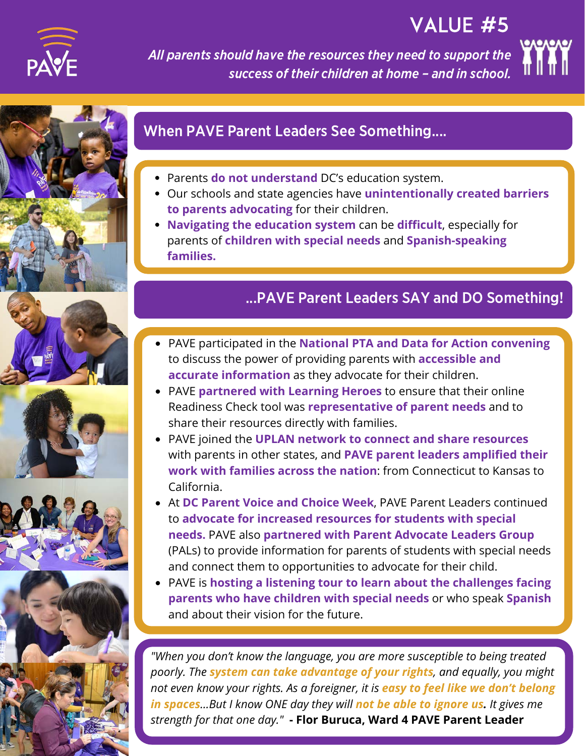

VALUE #5

All parents should have the resources they need to support the success of their children at home – and in school.











# When PAVE Parent Leaders See Something....

- Parents **do not understand** DC's education system.
- Our schools and state agencies have **unintentionally created barriers to parents advocating** for their children.
- **Navigating the education system** can be **difficult**, especially for parents of **children with special needs** and **Spanish-speaking families.**

## ...PAVE Parent Leaders SAY and DO Something!

- **accurate information** as they advocate for their children. PAVE participated in the **National PTA and Data for Action convening** to discuss the power of providing parents with **accessible and**
- PAVE **partnered with Learning Heroes** to ensure that their online Readiness Check tool was **representative of parent needs** and to share their resources directly with families.
- PAVE joined the **UPLAN network to connect and share resources** with parents in other states, and **PAVE parent leaders amplified their work with families across the nation**: from Connecticut to Kansas to California.
- At **DC Parent Voice and Choice Week**, PAVE Parent Leaders continued to **advocate for increased resources for students with special needs.** PAVE also **partnered with Parent Advocate Leaders Group** (PALs) to provide information for parents of students with special needs and connect them to opportunities to advocate for their child.
- PAVE is **hosting a listening tour to learn about the challenges facing parents who have children with special needs** or who speak **Spanish** and about their vision for the future.

**WHAT'S NEXT** *poorly. The system can take advantage of your rights, and equally, you might "When you don't know the language, you are more susceptible to being treated not even know your rights. As a foreigner, it is easy to feel like we don't belong in spaces...But I know ONE day they will not be able to ignore us. It gives me strength for that one day."* **- Flor Buruca, Ward 4 PAVE Parent Leader**